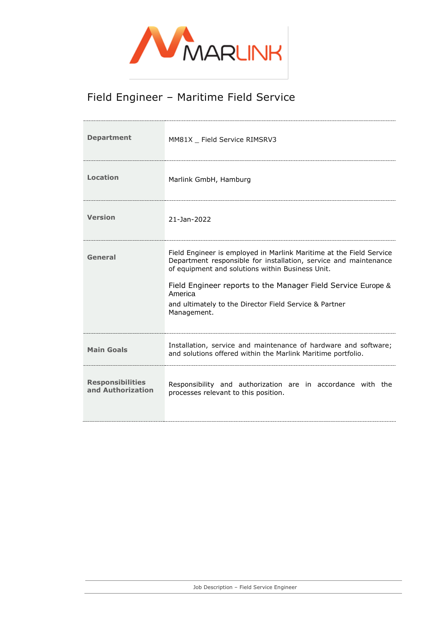

## Field Engineer – Maritime Field Service

| <b>Department</b>                            | MM81X _ Field Service RIMSRV3                                                                                                                                                                                                                                                                                                                   |
|----------------------------------------------|-------------------------------------------------------------------------------------------------------------------------------------------------------------------------------------------------------------------------------------------------------------------------------------------------------------------------------------------------|
| Location                                     | Marlink GmbH, Hamburg                                                                                                                                                                                                                                                                                                                           |
| <b>Version</b>                               | 21-Jan-2022                                                                                                                                                                                                                                                                                                                                     |
| General                                      | Field Engineer is employed in Marlink Maritime at the Field Service<br>Department responsible for installation, service and maintenance<br>of equipment and solutions within Business Unit.<br>Field Engineer reports to the Manager Field Service Europe &<br>America<br>and ultimately to the Director Field Service & Partner<br>Management. |
| <b>Main Goals</b>                            | Installation, service and maintenance of hardware and software;<br>and solutions offered within the Marlink Maritime portfolio.                                                                                                                                                                                                                 |
| <b>Responsibilities</b><br>and Authorization | Responsibility and authorization are in accordance with the<br>processes relevant to this position.                                                                                                                                                                                                                                             |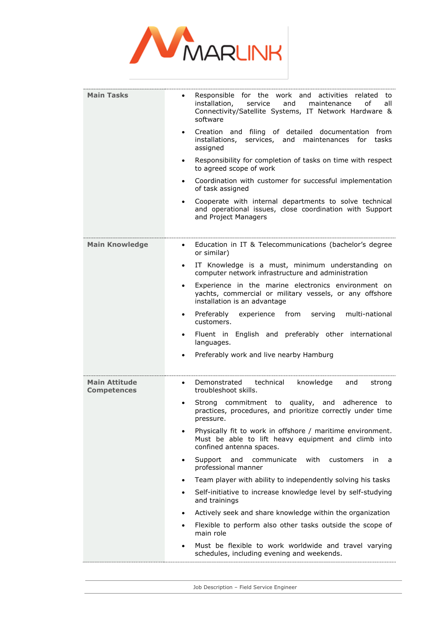

| <b>Main Tasks</b>                          | Responsible for the work and activities related to<br>installation,<br>service<br>and<br>maintenance<br>οf<br>all<br>Connectivity/Satellite Systems, IT Network Hardware &<br>software |
|--------------------------------------------|----------------------------------------------------------------------------------------------------------------------------------------------------------------------------------------|
|                                            | Creation and filing of detailed documentation<br>from<br>$\bullet$<br>services, and maintenances<br>tasks<br>installations,<br>for<br>assigned                                         |
|                                            | Responsibility for completion of tasks on time with respect<br>$\bullet$<br>to agreed scope of work                                                                                    |
|                                            | Coordination with customer for successful implementation<br>$\bullet$<br>of task assigned                                                                                              |
|                                            | Cooperate with internal departments to solve technical<br>$\bullet$<br>and operational issues, close coordination with Support<br>and Project Managers                                 |
| <b>Main Knowledge</b>                      | Education in IT & Telecommunications (bachelor's degree<br>$\bullet$<br>or similar)                                                                                                    |
|                                            | IT Knowledge is a must, minimum understanding on<br>$\bullet$<br>computer network infrastructure and administration                                                                    |
|                                            | Experience in the marine electronics environment on<br>$\bullet$<br>yachts, commercial or military vessels, or any offshore<br>installation is an advantage                            |
|                                            | Preferably experience from<br>multi-national<br>serving<br>$\bullet$<br>customers.                                                                                                     |
|                                            | Fluent in English and preferably other international<br>$\bullet$<br>languages.                                                                                                        |
|                                            | Preferably work and live nearby Hamburg                                                                                                                                                |
| <b>Main Attitude</b><br><b>Competences</b> | Demonstrated<br>technical<br>knowledge<br>and<br>strong<br>$\bullet$<br>troubleshoot skills.                                                                                           |
|                                            | Strong commitment to quality, and<br>adherence to<br>$\bullet$<br>practices, procedures, and prioritize correctly under time<br>pressure.                                              |
|                                            | Physically fit to work in offshore / maritime environment.<br>Must be able to lift heavy equipment and climb into<br>confined antenna spaces.                                          |
|                                            | Support and<br>communicate<br>with<br>customers<br>in.<br>$\bullet$<br>a<br>professional manner                                                                                        |
|                                            | Team player with ability to independently solving his tasks<br>$\bullet$                                                                                                               |
|                                            | Self-initiative to increase knowledge level by self-studying<br>and trainings                                                                                                          |
|                                            | Actively seek and share knowledge within the organization<br>$\bullet$                                                                                                                 |
|                                            | Flexible to perform also other tasks outside the scope of<br>$\bullet$<br>main role                                                                                                    |
|                                            | Must be flexible to work worldwide and travel varying<br>$\bullet$<br>schedules, including evening and weekends.                                                                       |